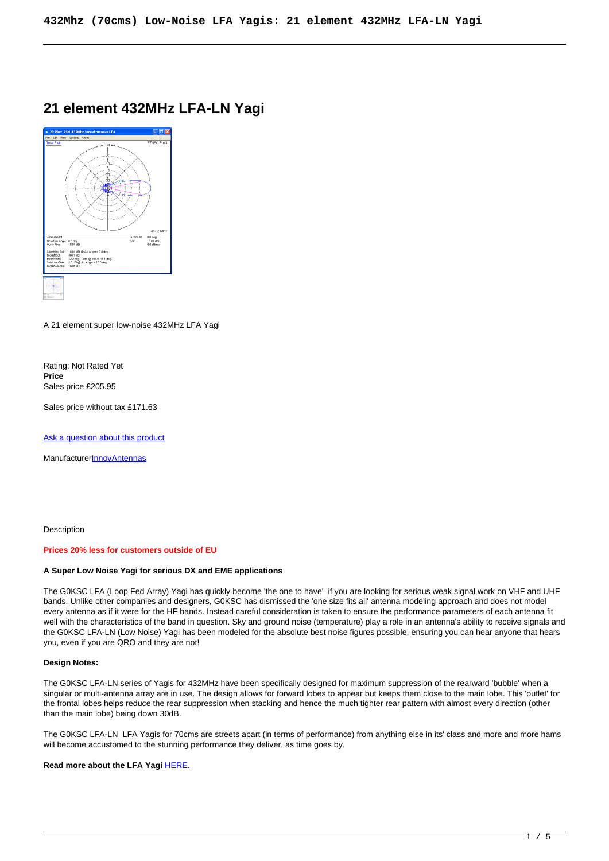# **21 element 432MHz LFA-LN Yagi**



A 21 element super low-noise 432MHz LFA Yagi

Rating: Not Rated Yet **Price**  Sales price £205.95

Sales price without tax £171.63

[Ask a question about this product](https://innovantennas.com/index.php?option=com_virtuemart&view=productdetails&task=askquestion&virtuemart_product_id=103&virtuemart_category_id=13&tmpl=component)

**Manufacturer[InnovAntennas](https://innovantennas.com/index.php?option=com_virtuemart&view=manufacturer&virtuemart_manufacturer_id=1&tmpl=component)** 

Description

# **Prices 20% less for customers outside of EU**

#### **A Super Low Noise Yagi for serious DX and EME applications**

The G0KSC LFA (Loop Fed Array) Yagi has quickly become 'the one to have' if you are looking for serious weak signal work on VHF and UHF bands. Unlike other companies and designers, G0KSC has dismissed the 'one size fits all' antenna modeling approach and does not model every antenna as if it were for the HF bands. Instead careful consideration is taken to ensure the performance parameters of each antenna fit well with the characteristics of the band in question. Sky and ground noise (temperature) play a role in an antenna's ability to receive signals and the G0KSC LFA-LN (Low Noise) Yagi has been modeled for the absolute best noise figures possible, ensuring you can hear anyone that hears you, even if you are QRO and they are not!

#### **Design Notes:**

The G0KSC LFA-LN series of Yagis for 432MHz have been specifically designed for maximum suppression of the rearward 'bubble' when a singular or multi-antenna array are in use. The design allows for forward lobes to appear but keeps them close to the main lobe. This 'outlet' for the frontal lobes helps reduce the rear suppression when stacking and hence the much tighter rear pattern with almost every direction (other than the main lobe) being down 30dB.

The G0KSC LFA-LN LFA Yagis for 70cms are streets apart (in terms of performance) from anything else in its' class and more and more hams will become accustomed to the stunning performance they deliver, as time goes by.

**Read more about the LFA Yagi [HERE.](lfa-benefits.html)**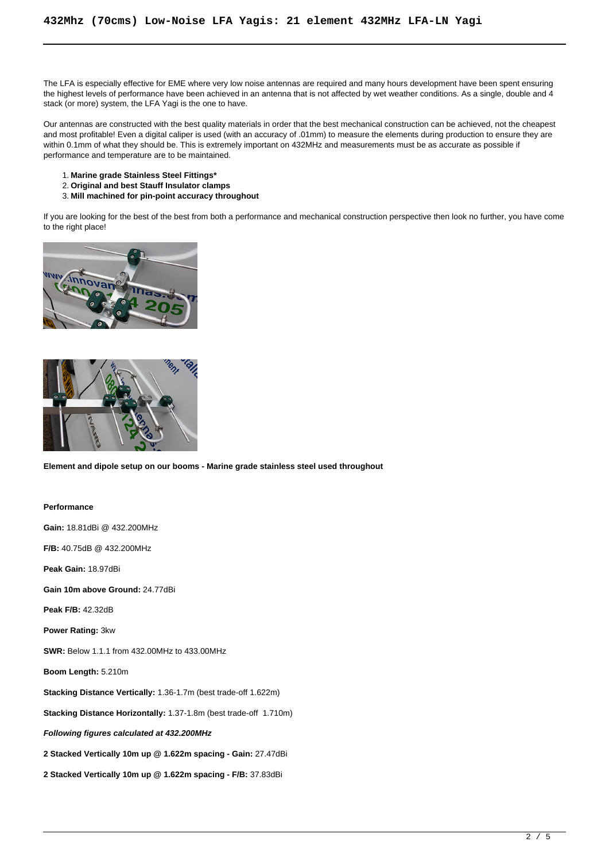The LFA is especially effective for EME where very low noise antennas are required and many hours development have been spent ensuring the highest levels of performance have been achieved in an antenna that is not affected by wet weather conditions. As a single, double and 4 stack (or more) system, the LFA Yagi is the one to have.

Our antennas are constructed with the best quality materials in order that the best mechanical construction can be achieved, not the cheapest and most profitable! Even a digital caliper is used (with an accuracy of .01mm) to measure the elements during production to ensure they are within 0.1mm of what they should be. This is extremely important on 432MHz and measurements must be as accurate as possible if performance and temperature are to be maintained.

- 1. **Marine grade Stainless Steel Fittings\***
- 2. **Original and best Stauff Insulator clamps**
- 3. **Mill machined for pin-point accuracy throughout**

If you are looking for the best of the best from both a performance and mechanical construction perspective then look no further, you have come to the right place!





**Element and dipole setup on our booms - Marine grade stainless steel used throughout**

#### **Performance**

**Gain:** 18.81dBi @ 432.200MHz **F/B:** 40.75dB @ 432.200MHz

**Peak Gain:** 18.97dBi

**Gain 10m above Ground:** 24.77dBi

**Peak F/B:** 42.32dB

**Power Rating:** 3kw

**SWR:** Below 1.1.1 from 432.00MHz to 433.00MHz

**Boom Length:** 5.210m

**Stacking Distance Vertically:** 1.36-1.7m (best trade-off 1.622m)

**Stacking Distance Horizontally:** 1.37-1.8m (best trade-off 1.710m)

**Following figures calculated at 432.200MHz**

**2 Stacked Vertically 10m up @ 1.622m spacing - Gain:** 27.47dBi

**2 Stacked Vertically 10m up @ 1.622m spacing - F/B:** 37.83dBi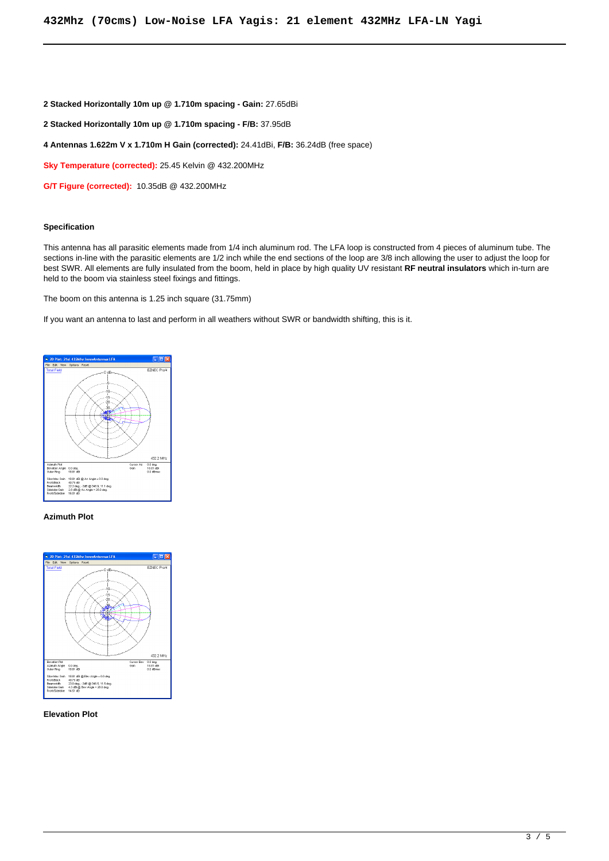#### **2 Stacked Horizontally 10m up @ 1.710m spacing - Gain:** 27.65dBi

**2 Stacked Horizontally 10m up @ 1.710m spacing - F/B:** 37.95dB

#### **4 Antennas 1.622m V x 1.710m H Gain (corrected):** 24.41dBi, **F/B:** 36.24dB (free space)

**Sky Temperature (corrected):** 25.45 Kelvin @ 432.200MHz

**G/T Figure (corrected):** 10.35dB @ 432.200MHz

#### **Specification**

This antenna has all parasitic elements made from 1/4 inch aluminum rod. The LFA loop is constructed from 4 pieces of aluminum tube. The sections in-line with the parasitic elements are 1/2 inch while the end sections of the loop are 3/8 inch allowing the user to adjust the loop for best SWR. All elements are fully insulated from the boom, held in place by high quality UV resistant **RF neutral insulators** which in-turn are held to the boom via stainless steel fixings and fittings.

The boom on this antenna is 1.25 inch square (31.75mm)

If you want an antenna to last and perform in all weathers without SWR or bandwidth shifting, this is it.



## **Azimuth Plot**



#### **Elevation Plot**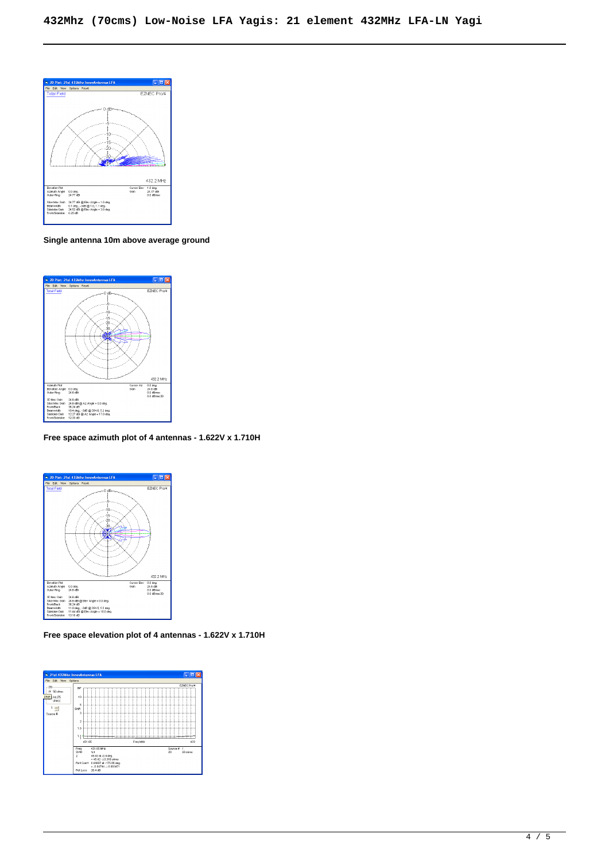

**Single antenna 10m above average ground**



**Free space azimuth plot of 4 antennas - 1.622V x 1.710H**



**Free space elevation plot of 4 antennas - 1.622V x 1.710H**